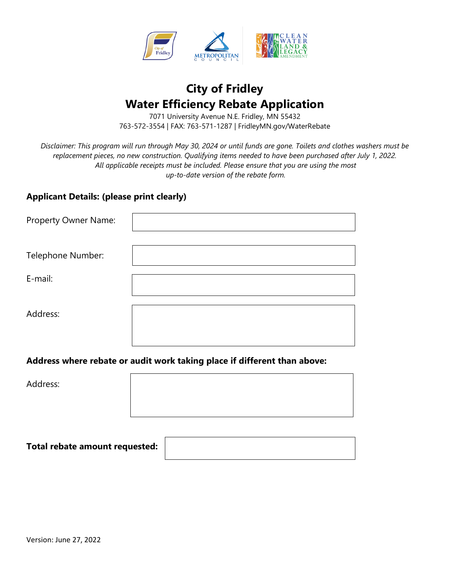

# **City of Fridley Water Efficiency Rebate Application**

7071 University Avenue N.E. Fridley, MN 55432 763-572-3554 | FAX: 763-571-1287 | FridleyMN.gov/WaterRebate

*Disclaimer: This program will run through May 30, 2024 or until funds are gone. Toilets and clothes washers must be replacement pieces, no new construction. Qualifying items needed to have been purchased after July 1, 2022. All applicable receipts must be included. Please ensure that you are using the most up-to-date version of the rebate form.* 

### **Applicant Details: (please print clearly)**

| Property Owner Name: |  |
|----------------------|--|
| Telephone Number:    |  |
| E-mail:              |  |
| Address:             |  |

**Address where rebate or audit work taking place if different than above:**

Address:

**Total rebate amount requested:**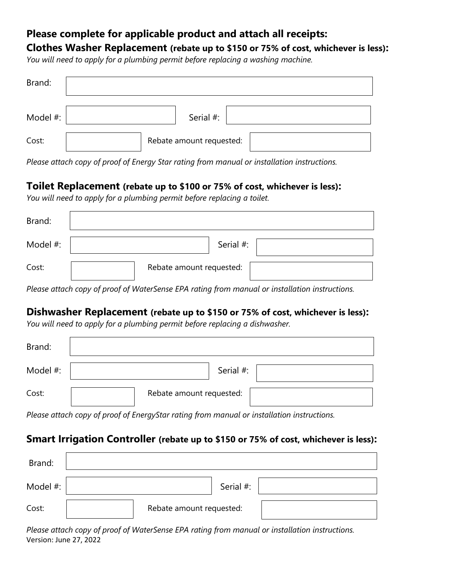## **Please complete for applicable product and attach all receipts:**

**Clothes Washer Replacement (rebate up to \$150 or 75% of cost, whichever is less):**

*You will need to apply for a plumbing permit before replacing a washing machine.*

| Brand:   |                          |  |
|----------|--------------------------|--|
| Model #: | Serial #:                |  |
| Cost:    | Rebate amount requested: |  |

*Please attach copy of proof of Energy Star rating from manual or installation instructions.*

## **Toilet Replacement (rebate up to \$100 or 75% of cost, whichever is less):**

*You will need to apply for a plumbing permit before replacing a toilet.*

| Brand:                                                                                        |                          |  |  |
|-----------------------------------------------------------------------------------------------|--------------------------|--|--|
| Model #:                                                                                      | Serial #:                |  |  |
| Cost:                                                                                         | Rebate amount requested: |  |  |
| Descendingly required and of Materia and DA active from measured on installation instructions |                          |  |  |

*Please attach copy of proof of WaterSense EPA rating from manual or installation instructions.*

## **Dishwasher Replacement (rebate up to \$150 or 75% of cost, whichever is less):**

*You will need to apply for a plumbing permit before replacing a dishwasher.*

| Brand:   |                          |
|----------|--------------------------|
| Model #: | Serial #:                |
| Cost:    | Rebate amount requested: |

*Please attach copy of proof of EnergyStar rating from manual or installation instructions.*

## **Smart Irrigation Controller (rebate up to \$150 or 75% of cost, whichever is less):**

| Brand:   |                          |  |
|----------|--------------------------|--|
| Model #: | Serial #:                |  |
| Cost:    | Rebate amount requested: |  |

Version: June 27, 2022 *Please attach copy of proof of WaterSense EPA rating from manual or installation instructions.*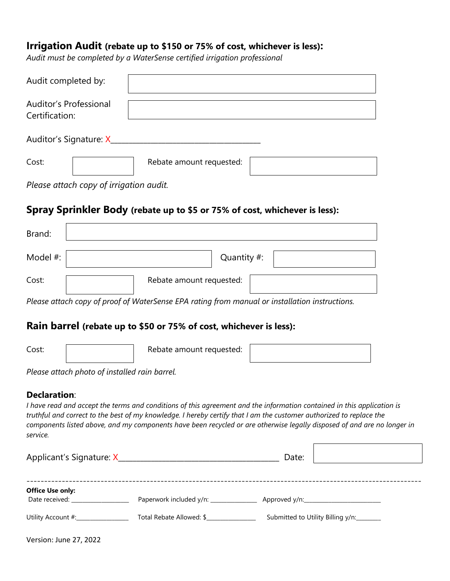## **Irrigation Audit (rebate up to \$150 or 75% of cost, whichever is less):**

*Audit must be completed by a WaterSense certified irrigation professional*

| Audit completed by:                      |                          |  |  |
|------------------------------------------|--------------------------|--|--|
| Auditor's Professional<br>Certification: |                          |  |  |
| Auditor's Signature: X_                  |                          |  |  |
| Cost:                                    | Rebate amount requested: |  |  |

*Please attach copy of irrigation audit.*

## **Spray Sprinkler Body (rebate up to \$5 or 75% of cost, whichever is less):**

| Brand:   |                          |
|----------|--------------------------|
| Model #: | Quantity #:              |
| Cost:    | Rebate amount requested: |

*Please attach copy of proof of WaterSense EPA rating from manual or installation instructions.*

### **Rain barrel (rebate up to \$50 or 75% of cost, whichever is less):**

| Cost: | Rebate amount requested: |  |
|-------|--------------------------|--|
|       |                          |  |

*Please attach photo of installed rain barrel.*

#### **Declaration**:

*I have read and accept the terms and conditions of this agreement and the information contained in this application is truthful and correct to the best of my knowledge. I hereby certify that I am the customer authorized to replace the components listed above, and my components have been recycled or are otherwise legally disposed of and are no longer in service.*

|                                           |                                         | Date:                             |
|-------------------------------------------|-----------------------------------------|-----------------------------------|
| <b>Office Use only:</b><br>Date received: | Paperwork included y/n: _______________ |                                   |
| Utility Account #:                        | Total Rebate Allowed: \$                | Submitted to Utility Billing y/n: |

F

Version: June 27, 2022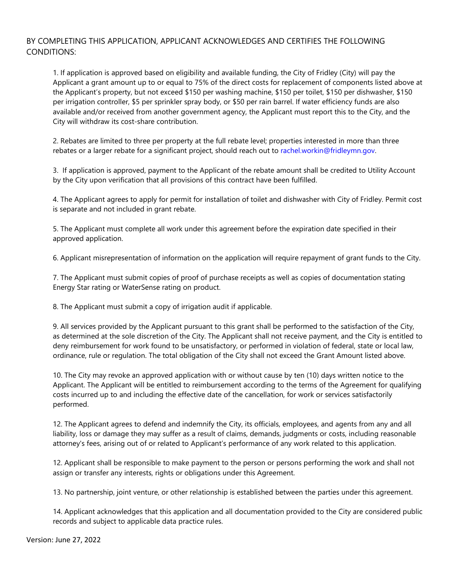#### BY COMPLETING THIS APPLICATION, APPLICANT ACKNOWLEDGES AND CERTIFIES THE FOLLOWING CONDITIONS:

1. If application is approved based on eligibility and available funding, the City of Fridley (City) will pay the Applicant a grant amount up to or equal to 75% of the direct costs for replacement of components listed above at the Applicant's property, but not exceed \$150 per washing machine, \$150 per toilet, \$150 per dishwasher, \$150 per irrigation controller, \$5 per sprinkler spray body, or \$50 per rain barrel. If water efficiency funds are also available and/or received from another government agency, the Applicant must report this to the City, and the City will withdraw its cost-share contribution.

2. Rebates are limited to three per property at the full rebate level; properties interested in more than three rebates or a larger rebate for a significant project, should reach out to rachel.workin@fridleymn.gov.

3. If application is approved, payment to the Applicant of the rebate amount shall be credited to Utility Account by the City upon verification that all provisions of this contract have been fulfilled.

4. The Applicant agrees to apply for permit for installation of toilet and dishwasher with City of Fridley. Permit cost is separate and not included in grant rebate.

5. The Applicant must complete all work under this agreement before the expiration date specified in their approved application.

6. Applicant misrepresentation of information on the application will require repayment of grant funds to the City.

7. The Applicant must submit copies of proof of purchase receipts as well as copies of documentation stating Energy Star rating or WaterSense rating on product.

8. The Applicant must submit a copy of irrigation audit if applicable.

9. All services provided by the Applicant pursuant to this grant shall be performed to the satisfaction of the City, as determined at the sole discretion of the City. The Applicant shall not receive payment, and the City is entitled to deny reimbursement for work found to be unsatisfactory, or performed in violation of federal, state or local law, ordinance, rule or regulation. The total obligation of the City shall not exceed the Grant Amount listed above.

10. The City may revoke an approved application with or without cause by ten (10) days written notice to the Applicant. The Applicant will be entitled to reimbursement according to the terms of the Agreement for qualifying costs incurred up to and including the effective date of the cancellation, for work or services satisfactorily performed.

12. The Applicant agrees to defend and indemnify the City, its officials, employees, and agents from any and all liability, loss or damage they may suffer as a result of claims, demands, judgments or costs, including reasonable attorney's fees, arising out of or related to Applicant's performance of any work related to this application.

12. Applicant shall be responsible to make payment to the person or persons performing the work and shall not assign or transfer any interests, rights or obligations under this Agreement.

13. No partnership, joint venture, or other relationship is established between the parties under this agreement.

14. Applicant acknowledges that this application and all documentation provided to the City are considered public records and subject to applicable data practice rules.